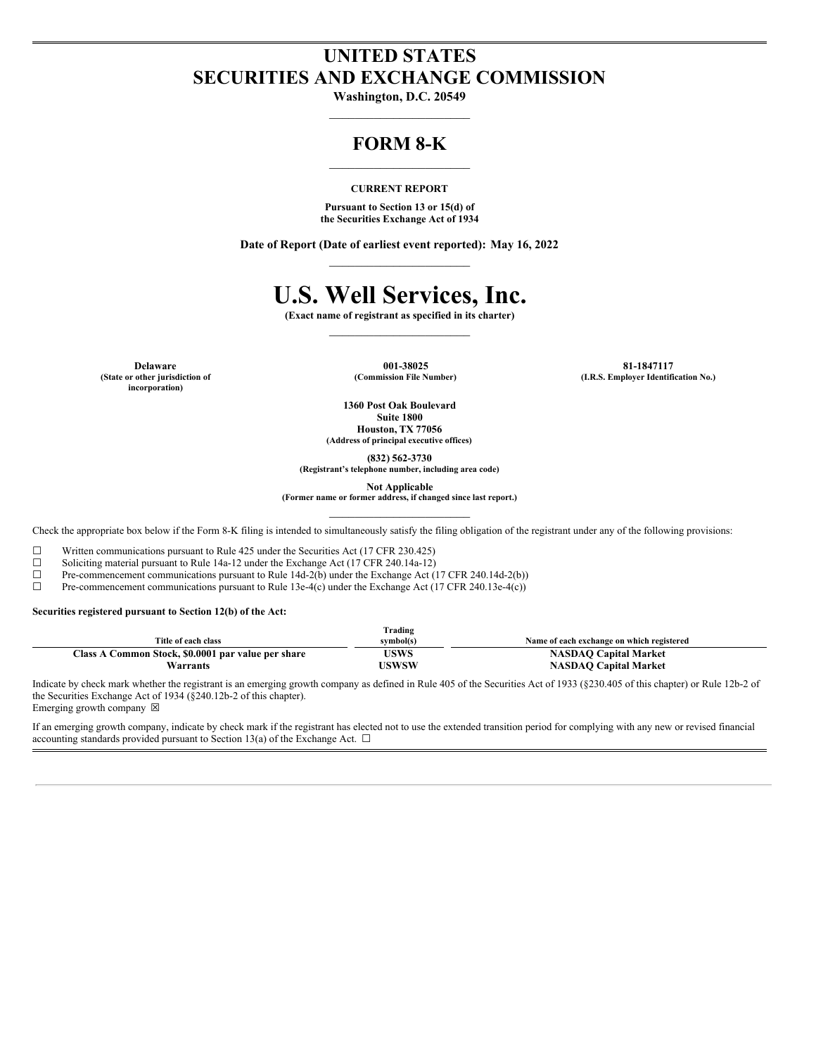# **UNITED STATES SECURITIES AND EXCHANGE COMMISSION**

**Washington, D.C. 20549**  $\mathcal{L}_\text{max}$ 

# **FORM 8-K**

#### **CURRENT REPORT**

**Pursuant to Section 13 or 15(d) of the Securities Exchange Act of 1934**

**Date of Report (Date of earliest event reported): May 16, 2022**  $\mathcal{L}_\text{max}$ 

# **U.S. Well Services, Inc.**

**(Exact name of registrant as specified in its charter)**

**(State or other jurisdiction of incorporation)**

**Delaware 001-38025 81-1847117 (Commission File Number) (I.R.S. Employer Identification No.)**

> **1360 Post Oak Boulevard Suite 1800 Houston, TX 77056**

**(Address of principal executive offices)**

**(832) 562-3730**

**(Registrant's telephone number, including area code)**

**Not Applicable**

**(Former name or former address, if changed since last report.)**

Check the appropriate box below if the Form 8-K filing is intended to simultaneously satisfy the filing obligation of the registrant under any of the following provisions:

 $\Box$  Written communications pursuant to Rule 425 under the Securities Act (17 CFR 230.425)  $\Box$  Soliciting material pursuant to Rule 14a-12 under the Exchange Act (17 CFR 240.14a-12) Soliciting material pursuant to Rule 14a-12 under the Exchange Act (17 CFR 240.14a-12)

 $\Box$  Pre-commencement communications pursuant to Rule 14d-2(b) under the Exchange Act (17 CFR 240.14d-2(b))

☐ Pre-commencement communications pursuant to Rule 13e-4(c) under the Exchange Act (17 CFR 240.13e-4(c))

**Securities registered pursuant to Section 12(b) of the Act:**

|                                                    | Trading   |                                           |
|----------------------------------------------------|-----------|-------------------------------------------|
| Title of each class                                | svmbol(s) | Name of each exchange on which registered |
| Class A Common Stock, \$0.0001 par value per share | USWS      | <b>NASDAO Capital Market</b>              |
| Warrants                                           | USWSW     | <b>NASDAO Capital Market</b>              |

Indicate by check mark whether the registrant is an emerging growth company as defined in Rule 405 of the Securities Act of 1933 (§230.405 of this chapter) or Rule 12b-2 of the Securities Exchange Act of 1934 (§240.12b-2 of this chapter). Emerging growth company  $\boxtimes$ 

If an emerging growth company, indicate by check mark if the registrant has elected not to use the extended transition period for complying with any new or revised financial accounting standards provided pursuant to Section 13(a) of the Exchange Act.  $\Box$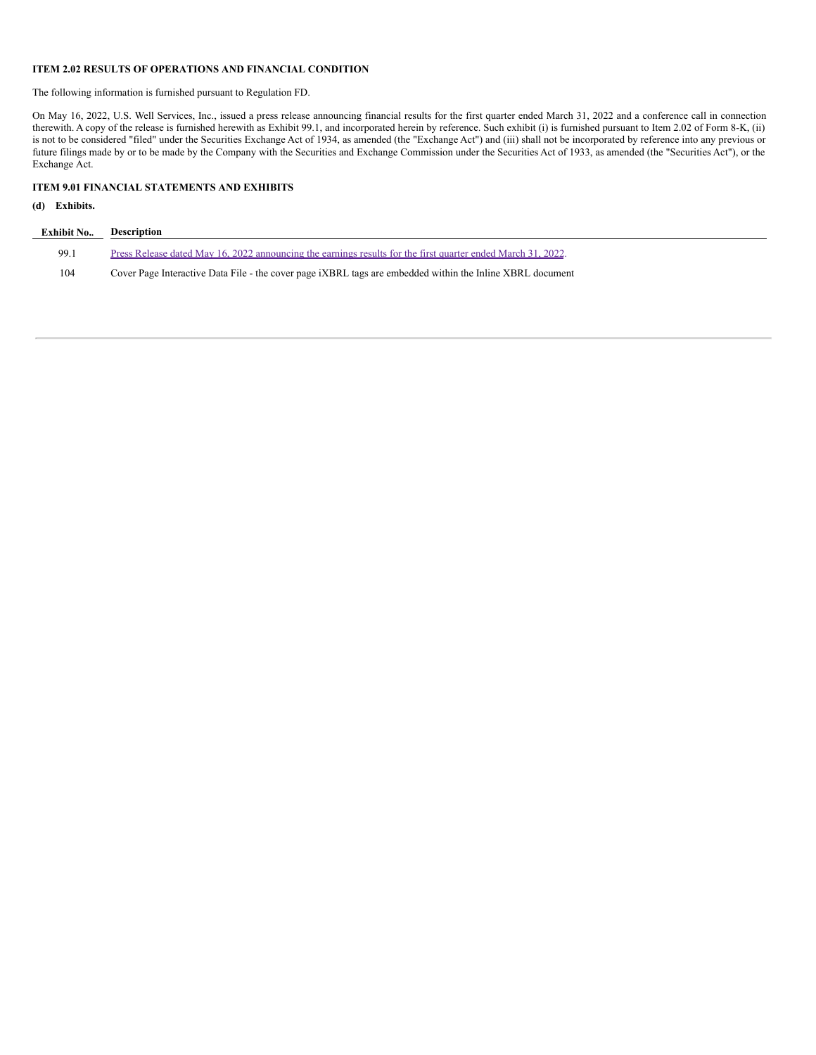#### **ITEM 2.02 RESULTS OF OPERATIONS AND FINANCIAL CONDITION**

The following information is furnished pursuant to Regulation FD.

On May 16, 2022, U.S. Well Services, Inc., issued a press release announcing financial results for the first quarter ended March 31, 2022 and a conference call in connection therewith. A copy of the release is furnished herewith as Exhibit 99.1, and incorporated herein by reference. Such exhibit (i) is furnished pursuant to Item 2.02 of Form 8-K, (ii) is not to be considered "filed" under the Securities Exchange Act of 1934, as amended (the "Exchange Act") and (iii) shall not be incorporated by reference into any previous or future filings made by or to be made by the Company with the Securities and Exchange Commission under the Securities Act of 1933, as amended (the "Securities Act"), or the Exchange Act.

#### **ITEM 9.01 FINANCIAL STATEMENTS AND EXHIBITS**

# **(d) Exhibits.**

| <b>Exhibit No Description</b> |                                                                                                              |
|-------------------------------|--------------------------------------------------------------------------------------------------------------|
| 99.1                          | Press Release dated May 16, 2022 announcing the earnings results for the first quarter ended March 31, 2022. |
| 104                           | Cover Page Interactive Data File - the cover page iXBRL tags are embedded within the Inline XBRL document    |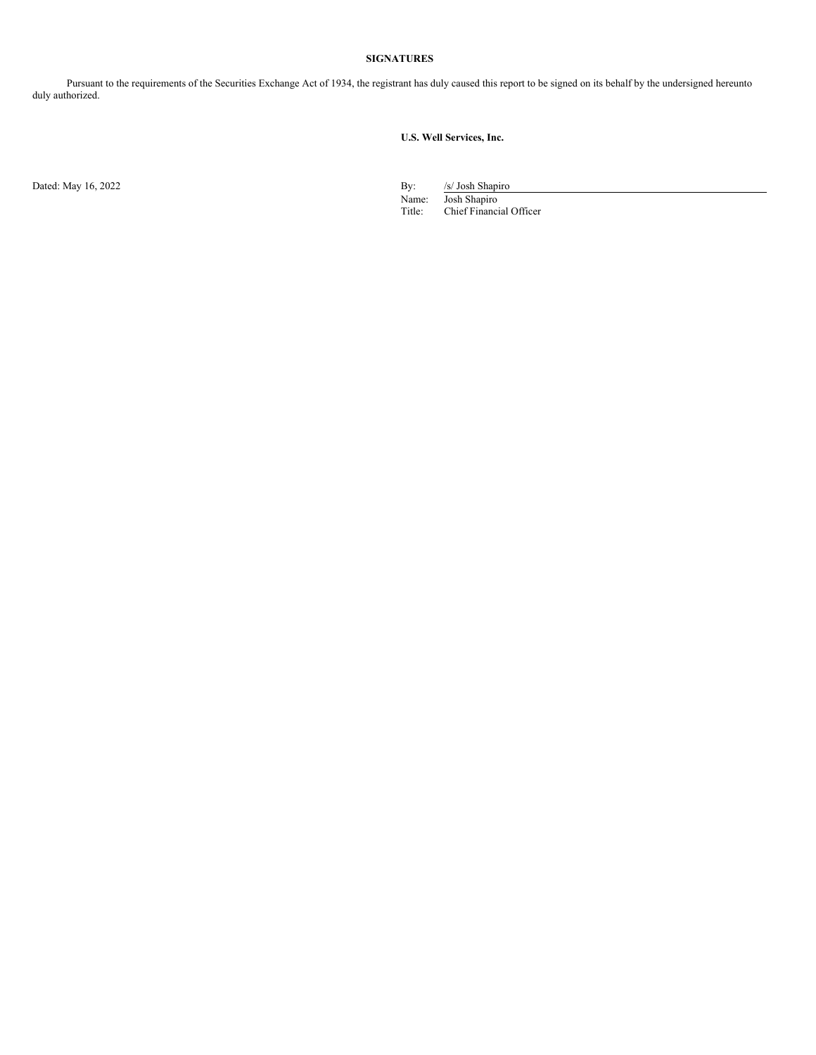# **SIGNATURES**

Pursuant to the requirements of the Securities Exchange Act of 1934, the registrant has duly caused this report to be signed on its behalf by the undersigned hereunto duly authorized.

# **U.S. Well Services, Inc.**

Dated: May 16, 2022 By: /s/ Josh Shapiro Shapiro Shapiro Shapiro Shapiro Shapiro Shapiro Shapiro Shapiro Shapiro Shapiro Shapiro Shapiro Shapiro Shapiro Shapiro Shapiro Shapiro Shapiro Shapiro Shapiro Shapiro Shapiro Shapi

Name: Josh Shapiro Title: Chief Financial Officer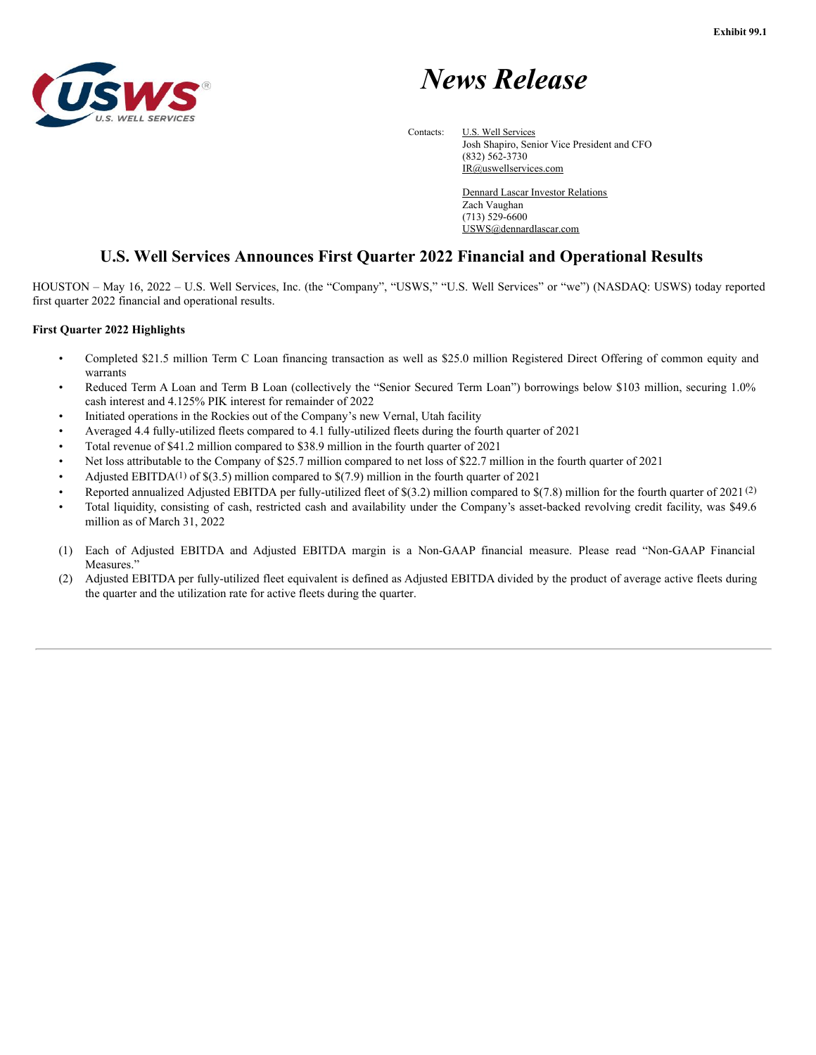



Contacts: **U.S. Well Services** Josh Shapiro, Senior Vice President and CFO (832) 562-3730

IR@uswellservices.com

Dennard Lascar Investor Relations Zach Vaughan (713) 529-6600 USWS@dennardlascar.com

# **U.S. Well Services Announces First Quarter 2022 Financial and Operational Results**

HOUSTON – May 16, 2022 – U.S. Well Services, Inc. (the "Company", "USWS," "U.S. Well Services" or "we") (NASDAQ: USWS) today reported first quarter 2022 financial and operational results.

# **First Quarter 2022 Highlights**

- Completed \$21.5 million Term C Loan financing transaction as well as \$25.0 million Registered Direct Offering of common equity and warrants
- Reduced Term A Loan and Term B Loan (collectively the "Senior Secured Term Loan") borrowings below \$103 million, securing 1.0% cash interest and 4.125% PIK interest for remainder of 2022
- Initiated operations in the Rockies out of the Company's new Vernal, Utah facility
- Averaged 4.4 fully-utilized fleets compared to 4.1 fully-utilized fleets during the fourth quarter of 2021
- Total revenue of \$41.2 million compared to \$38.9 million in the fourth quarter of 2021
- Net loss attributable to the Company of \$25.7 million compared to net loss of \$22.7 million in the fourth quarter of 2021
- Adjusted EBITDA<sup>(1)</sup> of  $$(3.5)$  million compared to  $$(7.9)$  million in the fourth quarter of 2021
- Reported annualized Adjusted EBITDA per fully-utilized fleet of \$(3.2) million compared to \$(7.8) million for the fourth quarter of 2021 (2)
- Total liquidity, consisting of cash, restricted cash and availability under the Company's asset-backed revolving credit facility, was \$49.6 million as of March 31, 2022
- (1) Each of Adjusted EBITDA and Adjusted EBITDA margin is a Non-GAAP financial measure. Please read "Non-GAAP Financial Measures."
- (2) Adjusted EBITDA per fully-utilized fleet equivalent is defined as Adjusted EBITDA divided by the product of average active fleets during the quarter and the utilization rate for active fleets during the quarter.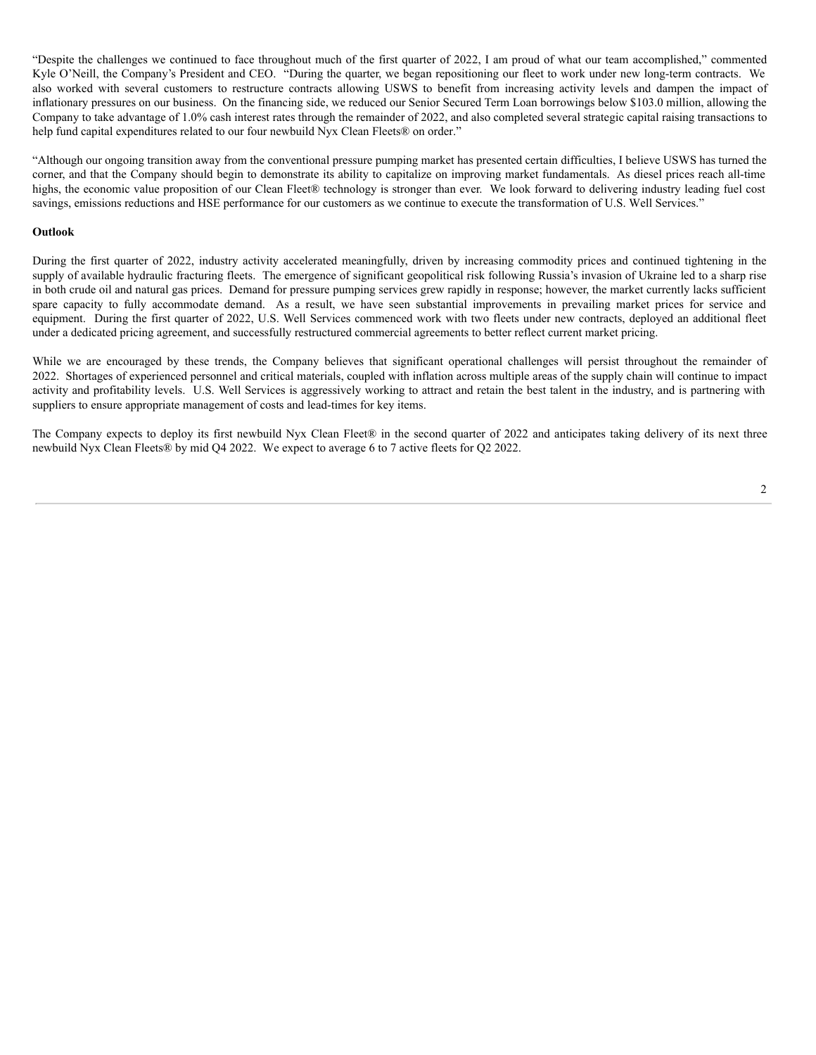"Despite the challenges we continued to face throughout much of the first quarter of 2022, I am proud of what our team accomplished," commented Kyle O'Neill, the Company's President and CEO. "During the quarter, we began repositioning our fleet to work under new long-term contracts. We also worked with several customers to restructure contracts allowing USWS to benefit from increasing activity levels and dampen the impact of inflationary pressures on our business. On the financing side, we reduced our Senior Secured Term Loan borrowings below \$103.0 million, allowing the Company to take advantage of 1.0% cash interest rates through the remainder of 2022, and also completed several strategic capital raising transactions to help fund capital expenditures related to our four newbuild Nyx Clean Fleets® on order."

"Although our ongoing transition away from the conventional pressure pumping market has presented certain difficulties, I believe USWS has turned the corner, and that the Company should begin to demonstrate its ability to capitalize on improving market fundamentals. As diesel prices reach all-time highs, the economic value proposition of our Clean Fleet® technology is stronger than ever. We look forward to delivering industry leading fuel cost savings, emissions reductions and HSE performance for our customers as we continue to execute the transformation of U.S. Well Services."

#### **Outlook**

During the first quarter of 2022, industry activity accelerated meaningfully, driven by increasing commodity prices and continued tightening in the supply of available hydraulic fracturing fleets. The emergence of significant geopolitical risk following Russia's invasion of Ukraine led to a sharp rise in both crude oil and natural gas prices. Demand for pressure pumping services grew rapidly in response; however, the market currently lacks sufficient spare capacity to fully accommodate demand. As a result, we have seen substantial improvements in prevailing market prices for service and equipment. During the first quarter of 2022, U.S. Well Services commenced work with two fleets under new contracts, deployed an additional fleet under a dedicated pricing agreement, and successfully restructured commercial agreements to better reflect current market pricing.

While we are encouraged by these trends, the Company believes that significant operational challenges will persist throughout the remainder of 2022. Shortages of experienced personnel and critical materials, coupled with inflation across multiple areas of the supply chain will continue to impact activity and profitability levels. U.S. Well Services is aggressively working to attract and retain the best talent in the industry, and is partnering with suppliers to ensure appropriate management of costs and lead-times for key items.

The Company expects to deploy its first newbuild Nyx Clean Fleet® in the second quarter of 2022 and anticipates taking delivery of its next three newbuild Nyx Clean Fleets® by mid Q4 2022. We expect to average 6 to 7 active fleets for Q2 2022.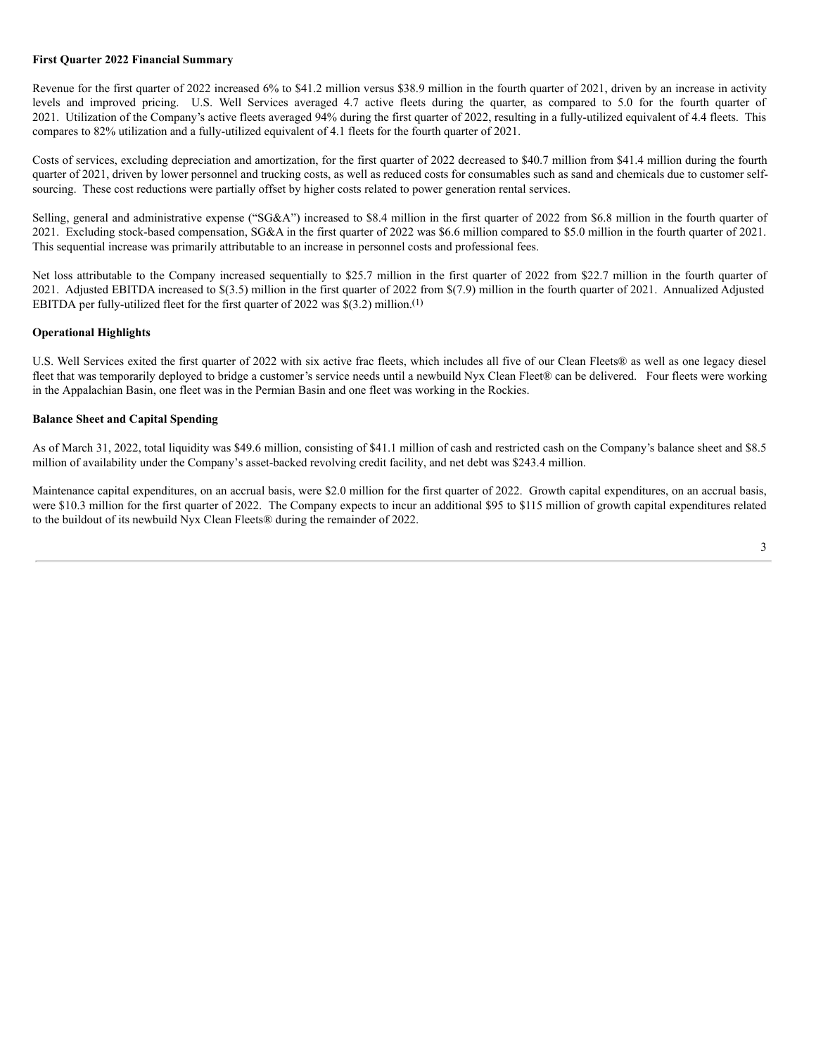#### **First Quarter 2022 Financial Summary**

Revenue for the first quarter of 2022 increased 6% to \$41.2 million versus \$38.9 million in the fourth quarter of 2021, driven by an increase in activity levels and improved pricing. U.S. Well Services averaged 4.7 active fleets during the quarter, as compared to 5.0 for the fourth quarter of 2021. Utilization of the Company's active fleets averaged 94% during the first quarter of 2022, resulting in a fully-utilized equivalent of 4.4 fleets. This compares to 82% utilization and a fully-utilized equivalent of 4.1 fleets for the fourth quarter of 2021.

Costs of services, excluding depreciation and amortization, for the first quarter of 2022 decreased to \$40.7 million from \$41.4 million during the fourth quarter of 2021, driven by lower personnel and trucking costs, as well as reduced costs for consumables such as sand and chemicals due to customer selfsourcing. These cost reductions were partially offset by higher costs related to power generation rental services.

Selling, general and administrative expense ("SG&A") increased to \$8.4 million in the first quarter of 2022 from \$6.8 million in the fourth quarter of 2021. Excluding stock-based compensation, SG&A in the first quarter of 2022 was \$6.6 million compared to \$5.0 million in the fourth quarter of 2021. This sequential increase was primarily attributable to an increase in personnel costs and professional fees.

Net loss attributable to the Company increased sequentially to \$25.7 million in the first quarter of 2022 from \$22.7 million in the fourth quarter of 2021. Adjusted EBITDA increased to \$(3.5) million in the first quarter of 2022 from \$(7.9) million in the fourth quarter of 2021. Annualized Adjusted EBITDA per fully-utilized fleet for the first quarter of 2022 was \$(3.2) million.(1)

## **Operational Highlights**

U.S. Well Services exited the first quarter of 2022 with six active frac fleets, which includes all five of our Clean Fleets® as well as one legacy diesel fleet that was temporarily deployed to bridge a customer's service needs until a newbuild Nyx Clean Fleet® can be delivered. Four fleets were working in the Appalachian Basin, one fleet was in the Permian Basin and one fleet was working in the Rockies.

# **Balance Sheet and Capital Spending**

As of March 31, 2022, total liquidity was \$49.6 million, consisting of \$41.1 million of cash and restricted cash on the Company's balance sheet and \$8.5 million of availability under the Company's asset-backed revolving credit facility, and net debt was \$243.4 million.

Maintenance capital expenditures, on an accrual basis, were \$2.0 million for the first quarter of 2022. Growth capital expenditures, on an accrual basis, were \$10.3 million for the first quarter of 2022. The Company expects to incur an additional \$95 to \$115 million of growth capital expenditures related to the buildout of its newbuild Nyx Clean Fleets® during the remainder of 2022.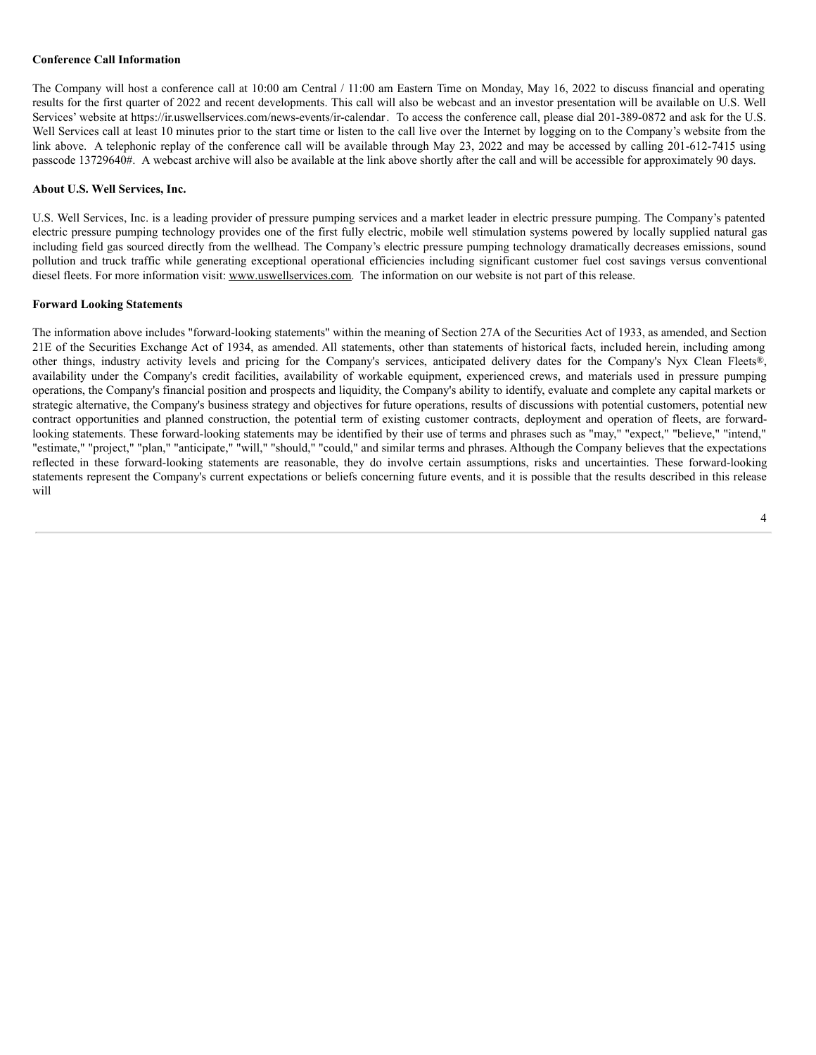## **Conference Call Information**

The Company will host a conference call at 10:00 am Central / 11:00 am Eastern Time on Monday, May 16, 2022 to discuss financial and operating results for the first quarter of 2022 and recent developments. This call will also be webcast and an investor presentation will be available on U.S. Well Services' website at https://ir.uswellservices.com/news-events/ir-calendar. To access the conference call, please dial 201-389-0872 and ask for the U.S. Well Services call at least 10 minutes prior to the start time or listen to the call live over the Internet by logging on to the Company's website from the link above. A telephonic replay of the conference call will be available through May 23, 2022 and may be accessed by calling 201-612-7415 using passcode 13729640#. A webcast archive will also be available at the link above shortly after the call and will be accessible for approximately 90 days.

#### **About U.S. Well Services, Inc.**

U.S. Well Services, Inc. is a leading provider of pressure pumping services and a market leader in electric pressure pumping. The Company's patented electric pressure pumping technology provides one of the first fully electric, mobile well stimulation systems powered by locally supplied natural gas including field gas sourced directly from the wellhead. The Company's electric pressure pumping technology dramatically decreases emissions, sound pollution and truck traffic while generating exceptional operational efficiencies including significant customer fuel cost savings versus conventional diesel fleets. For more information visit: www.uswellservices.com. The information on our website is not part of this release.

#### **Forward Looking Statements**

The information above includes "forward-looking statements" within the meaning of Section 27A of the Securities Act of 1933, as amended, and Section 21E of the Securities Exchange Act of 1934, as amended. All statements, other than statements of historical facts, included herein, including among other things, industry activity levels and pricing for the Company's services, anticipated delivery dates for the Company's Nyx Clean Fleets®, availability under the Company's credit facilities, availability of workable equipment, experienced crews, and materials used in pressure pumping operations, the Company's financial position and prospects and liquidity, the Company's ability to identify, evaluate and complete any capital markets or strategic alternative, the Company's business strategy and objectives for future operations, results of discussions with potential customers, potential new contract opportunities and planned construction, the potential term of existing customer contracts, deployment and operation of fleets, are forwardlooking statements. These forward-looking statements may be identified by their use of terms and phrases such as "may," "expect," "believe," "intend," "estimate," "project," "plan," "anticipate," "will," "should," "could," and similar terms and phrases. Although the Company believes that the expectations reflected in these forward-looking statements are reasonable, they do involve certain assumptions, risks and uncertainties. These forward-looking statements represent the Company's current expectations or beliefs concerning future events, and it is possible that the results described in this release will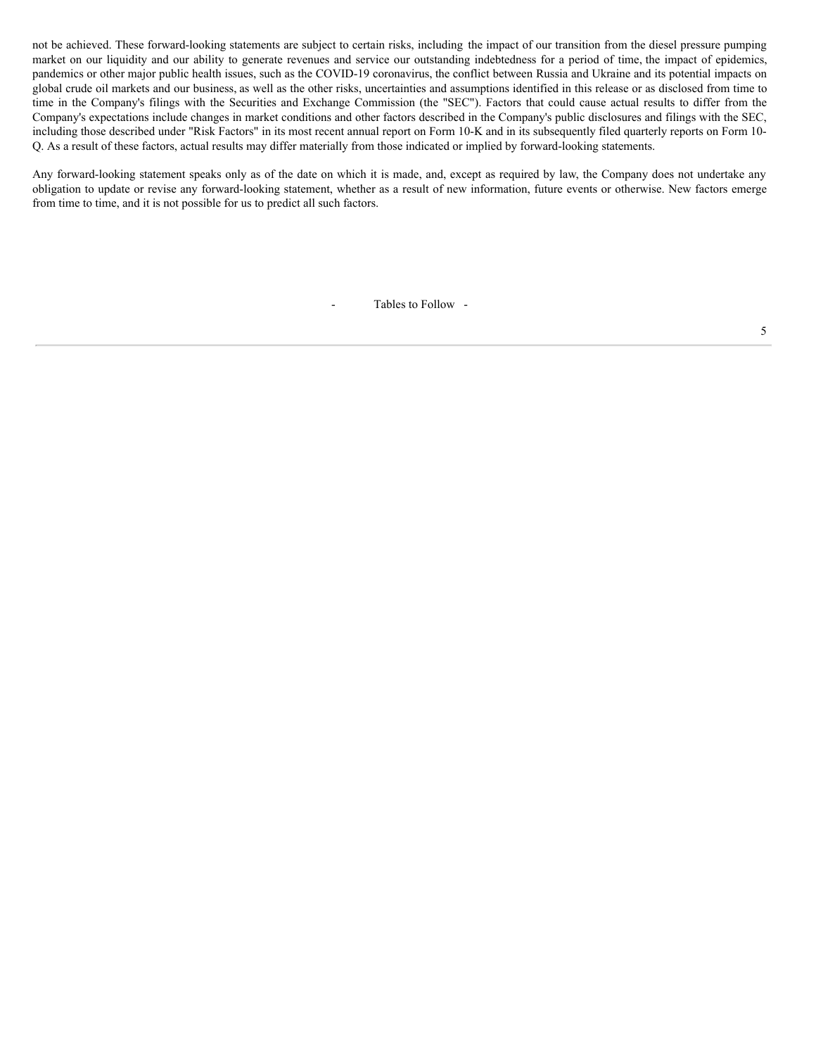<span id="page-7-0"></span>not be achieved. These forward-looking statements are subject to certain risks, including the impact of our transition from the diesel pressure pumping market on our liquidity and our ability to generate revenues and service our outstanding indebtedness for a period of time, the impact of epidemics, pandemics or other major public health issues, such as the COVID-19 coronavirus, the conflict between Russia and Ukraine and its potential impacts on global crude oil markets and our business, as well as the other risks, uncertainties and assumptions identified in this release or as disclosed from time to time in the Company's filings with the Securities and Exchange Commission (the "SEC"). Factors that could cause actual results to differ from the Company's expectations include changes in market conditions and other factors described in the Company's public disclosures and filings with the SEC, including those described under "Risk Factors" in its most recent annual report on Form 10-K and in its subsequently filed quarterly reports on Form 10- Q. As a result of these factors, actual results may differ materially from those indicated or implied by forward-looking statements.

Any forward-looking statement speaks only as of the date on which it is made, and, except as required by law, the Company does not undertake any obligation to update or revise any forward-looking statement, whether as a result of new information, future events or otherwise. New factors emerge from time to time, and it is not possible for us to predict all such factors.

- Tables to Follow -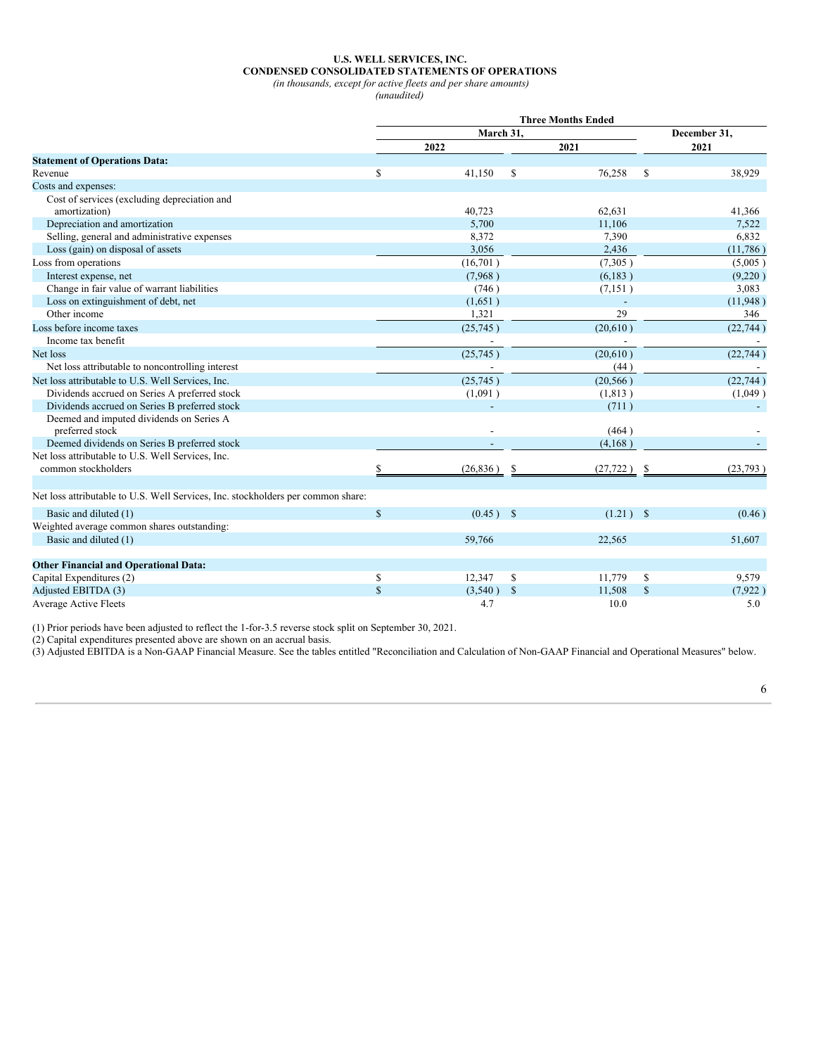#### **U.S. WELL SERVICES, INC. CONDENSED CONSOLIDATED STATEMENTS OF OPERATIONS**

*(in thousands, except for active fleets and per share amounts)*

*(unaudited)*

| December 31,<br>March 31,<br>2022<br>2021<br>2021<br><b>Statement of Operations Data:</b><br>\$<br>$\mathbb{S}$<br>41,150<br>76,258<br>S<br>38,929<br>Cost of services (excluding depreciation and<br>40,723<br>62,631<br>41,366<br>amortization)<br>Depreciation and amortization<br>5,700<br>7,522<br>11,106<br>Selling, general and administrative expenses<br>6,832<br>8,372<br>7,390<br>Loss (gain) on disposal of assets<br>3,056<br>2,436<br>(11,786)<br>(7,305)<br>(16,701)<br>(5,005)<br>Interest expense, net<br>(6,183)<br>(7,968)<br>(9,220)<br>Change in fair value of warrant liabilities<br>(746)<br>(7,151)<br>3,083<br>Loss on extinguishment of debt, net<br>(1,651)<br>(11,948)<br>29<br>Other income<br>1,321<br>346<br>(20,610)<br>(25,745)<br>(22, 744)<br>Income tax benefit<br>(22, 744)<br>(25,745)<br>(20,610)<br>Net loss<br>Net loss attributable to noncontrolling interest<br>(44)<br>(22, 744)<br>(25,745)<br>(20, 566)<br>Net loss attributable to U.S. Well Services, Inc.<br>Dividends accrued on Series A preferred stock<br>(1,091)<br>(1, 813)<br>(1,049)<br>Dividends accrued on Series B preferred stock<br>(711)<br>Deemed and imputed dividends on Series A<br>preferred stock<br>(464)<br>Deemed dividends on Series B preferred stock<br>(4,168)<br>Net loss attributable to U.S. Well Services, Inc.<br>common stockholders<br>(26,836)<br>(27, 722)<br>(23,793)<br>S<br>S<br>Net loss attributable to U.S. Well Services, Inc. stockholders per common share:<br>$\mathsf{\$}$<br>Basic and diluted (1)<br>$(0.45)$ \$<br>$(1.21)$ \$<br>(0.46)<br>Weighted average common shares outstanding:<br>Basic and diluted (1)<br>59,766<br>22,565<br>51,607<br><b>Other Financial and Operational Data:</b><br>Capital Expenditures (2)<br>\$<br>12,347<br>S<br>11,779<br>9,579<br>\$<br>$\mathbf S$<br>Adjusted EBITDA (3)<br>$\mathbf{s}$<br>(3,540)<br>11,508<br>\$<br>(7, 922)<br><b>Average Active Fleets</b><br>4.7<br>10.0<br>5.0 |                          | <b>Three Months Ended</b> |  |  |  |  |  |  |
|---------------------------------------------------------------------------------------------------------------------------------------------------------------------------------------------------------------------------------------------------------------------------------------------------------------------------------------------------------------------------------------------------------------------------------------------------------------------------------------------------------------------------------------------------------------------------------------------------------------------------------------------------------------------------------------------------------------------------------------------------------------------------------------------------------------------------------------------------------------------------------------------------------------------------------------------------------------------------------------------------------------------------------------------------------------------------------------------------------------------------------------------------------------------------------------------------------------------------------------------------------------------------------------------------------------------------------------------------------------------------------------------------------------------------------------------------------------------------------------------------------------------------------------------------------------------------------------------------------------------------------------------------------------------------------------------------------------------------------------------------------------------------------------------------------------------------------------------------------------------------------------------------------------------------------------------------------------------------------|--------------------------|---------------------------|--|--|--|--|--|--|
|                                                                                                                                                                                                                                                                                                                                                                                                                                                                                                                                                                                                                                                                                                                                                                                                                                                                                                                                                                                                                                                                                                                                                                                                                                                                                                                                                                                                                                                                                                                                                                                                                                                                                                                                                                                                                                                                                                                                                                                 |                          |                           |  |  |  |  |  |  |
|                                                                                                                                                                                                                                                                                                                                                                                                                                                                                                                                                                                                                                                                                                                                                                                                                                                                                                                                                                                                                                                                                                                                                                                                                                                                                                                                                                                                                                                                                                                                                                                                                                                                                                                                                                                                                                                                                                                                                                                 |                          |                           |  |  |  |  |  |  |
|                                                                                                                                                                                                                                                                                                                                                                                                                                                                                                                                                                                                                                                                                                                                                                                                                                                                                                                                                                                                                                                                                                                                                                                                                                                                                                                                                                                                                                                                                                                                                                                                                                                                                                                                                                                                                                                                                                                                                                                 |                          |                           |  |  |  |  |  |  |
|                                                                                                                                                                                                                                                                                                                                                                                                                                                                                                                                                                                                                                                                                                                                                                                                                                                                                                                                                                                                                                                                                                                                                                                                                                                                                                                                                                                                                                                                                                                                                                                                                                                                                                                                                                                                                                                                                                                                                                                 | Revenue                  |                           |  |  |  |  |  |  |
|                                                                                                                                                                                                                                                                                                                                                                                                                                                                                                                                                                                                                                                                                                                                                                                                                                                                                                                                                                                                                                                                                                                                                                                                                                                                                                                                                                                                                                                                                                                                                                                                                                                                                                                                                                                                                                                                                                                                                                                 | Costs and expenses:      |                           |  |  |  |  |  |  |
|                                                                                                                                                                                                                                                                                                                                                                                                                                                                                                                                                                                                                                                                                                                                                                                                                                                                                                                                                                                                                                                                                                                                                                                                                                                                                                                                                                                                                                                                                                                                                                                                                                                                                                                                                                                                                                                                                                                                                                                 |                          |                           |  |  |  |  |  |  |
|                                                                                                                                                                                                                                                                                                                                                                                                                                                                                                                                                                                                                                                                                                                                                                                                                                                                                                                                                                                                                                                                                                                                                                                                                                                                                                                                                                                                                                                                                                                                                                                                                                                                                                                                                                                                                                                                                                                                                                                 |                          |                           |  |  |  |  |  |  |
|                                                                                                                                                                                                                                                                                                                                                                                                                                                                                                                                                                                                                                                                                                                                                                                                                                                                                                                                                                                                                                                                                                                                                                                                                                                                                                                                                                                                                                                                                                                                                                                                                                                                                                                                                                                                                                                                                                                                                                                 |                          |                           |  |  |  |  |  |  |
|                                                                                                                                                                                                                                                                                                                                                                                                                                                                                                                                                                                                                                                                                                                                                                                                                                                                                                                                                                                                                                                                                                                                                                                                                                                                                                                                                                                                                                                                                                                                                                                                                                                                                                                                                                                                                                                                                                                                                                                 |                          |                           |  |  |  |  |  |  |
|                                                                                                                                                                                                                                                                                                                                                                                                                                                                                                                                                                                                                                                                                                                                                                                                                                                                                                                                                                                                                                                                                                                                                                                                                                                                                                                                                                                                                                                                                                                                                                                                                                                                                                                                                                                                                                                                                                                                                                                 |                          |                           |  |  |  |  |  |  |
|                                                                                                                                                                                                                                                                                                                                                                                                                                                                                                                                                                                                                                                                                                                                                                                                                                                                                                                                                                                                                                                                                                                                                                                                                                                                                                                                                                                                                                                                                                                                                                                                                                                                                                                                                                                                                                                                                                                                                                                 | Loss from operations     |                           |  |  |  |  |  |  |
|                                                                                                                                                                                                                                                                                                                                                                                                                                                                                                                                                                                                                                                                                                                                                                                                                                                                                                                                                                                                                                                                                                                                                                                                                                                                                                                                                                                                                                                                                                                                                                                                                                                                                                                                                                                                                                                                                                                                                                                 |                          |                           |  |  |  |  |  |  |
|                                                                                                                                                                                                                                                                                                                                                                                                                                                                                                                                                                                                                                                                                                                                                                                                                                                                                                                                                                                                                                                                                                                                                                                                                                                                                                                                                                                                                                                                                                                                                                                                                                                                                                                                                                                                                                                                                                                                                                                 |                          |                           |  |  |  |  |  |  |
|                                                                                                                                                                                                                                                                                                                                                                                                                                                                                                                                                                                                                                                                                                                                                                                                                                                                                                                                                                                                                                                                                                                                                                                                                                                                                                                                                                                                                                                                                                                                                                                                                                                                                                                                                                                                                                                                                                                                                                                 |                          |                           |  |  |  |  |  |  |
|                                                                                                                                                                                                                                                                                                                                                                                                                                                                                                                                                                                                                                                                                                                                                                                                                                                                                                                                                                                                                                                                                                                                                                                                                                                                                                                                                                                                                                                                                                                                                                                                                                                                                                                                                                                                                                                                                                                                                                                 |                          |                           |  |  |  |  |  |  |
|                                                                                                                                                                                                                                                                                                                                                                                                                                                                                                                                                                                                                                                                                                                                                                                                                                                                                                                                                                                                                                                                                                                                                                                                                                                                                                                                                                                                                                                                                                                                                                                                                                                                                                                                                                                                                                                                                                                                                                                 | Loss before income taxes |                           |  |  |  |  |  |  |
|                                                                                                                                                                                                                                                                                                                                                                                                                                                                                                                                                                                                                                                                                                                                                                                                                                                                                                                                                                                                                                                                                                                                                                                                                                                                                                                                                                                                                                                                                                                                                                                                                                                                                                                                                                                                                                                                                                                                                                                 |                          |                           |  |  |  |  |  |  |
|                                                                                                                                                                                                                                                                                                                                                                                                                                                                                                                                                                                                                                                                                                                                                                                                                                                                                                                                                                                                                                                                                                                                                                                                                                                                                                                                                                                                                                                                                                                                                                                                                                                                                                                                                                                                                                                                                                                                                                                 |                          |                           |  |  |  |  |  |  |
|                                                                                                                                                                                                                                                                                                                                                                                                                                                                                                                                                                                                                                                                                                                                                                                                                                                                                                                                                                                                                                                                                                                                                                                                                                                                                                                                                                                                                                                                                                                                                                                                                                                                                                                                                                                                                                                                                                                                                                                 |                          |                           |  |  |  |  |  |  |
|                                                                                                                                                                                                                                                                                                                                                                                                                                                                                                                                                                                                                                                                                                                                                                                                                                                                                                                                                                                                                                                                                                                                                                                                                                                                                                                                                                                                                                                                                                                                                                                                                                                                                                                                                                                                                                                                                                                                                                                 |                          |                           |  |  |  |  |  |  |
|                                                                                                                                                                                                                                                                                                                                                                                                                                                                                                                                                                                                                                                                                                                                                                                                                                                                                                                                                                                                                                                                                                                                                                                                                                                                                                                                                                                                                                                                                                                                                                                                                                                                                                                                                                                                                                                                                                                                                                                 |                          |                           |  |  |  |  |  |  |
|                                                                                                                                                                                                                                                                                                                                                                                                                                                                                                                                                                                                                                                                                                                                                                                                                                                                                                                                                                                                                                                                                                                                                                                                                                                                                                                                                                                                                                                                                                                                                                                                                                                                                                                                                                                                                                                                                                                                                                                 |                          |                           |  |  |  |  |  |  |
|                                                                                                                                                                                                                                                                                                                                                                                                                                                                                                                                                                                                                                                                                                                                                                                                                                                                                                                                                                                                                                                                                                                                                                                                                                                                                                                                                                                                                                                                                                                                                                                                                                                                                                                                                                                                                                                                                                                                                                                 |                          |                           |  |  |  |  |  |  |
|                                                                                                                                                                                                                                                                                                                                                                                                                                                                                                                                                                                                                                                                                                                                                                                                                                                                                                                                                                                                                                                                                                                                                                                                                                                                                                                                                                                                                                                                                                                                                                                                                                                                                                                                                                                                                                                                                                                                                                                 |                          |                           |  |  |  |  |  |  |
|                                                                                                                                                                                                                                                                                                                                                                                                                                                                                                                                                                                                                                                                                                                                                                                                                                                                                                                                                                                                                                                                                                                                                                                                                                                                                                                                                                                                                                                                                                                                                                                                                                                                                                                                                                                                                                                                                                                                                                                 |                          |                           |  |  |  |  |  |  |
|                                                                                                                                                                                                                                                                                                                                                                                                                                                                                                                                                                                                                                                                                                                                                                                                                                                                                                                                                                                                                                                                                                                                                                                                                                                                                                                                                                                                                                                                                                                                                                                                                                                                                                                                                                                                                                                                                                                                                                                 |                          |                           |  |  |  |  |  |  |
|                                                                                                                                                                                                                                                                                                                                                                                                                                                                                                                                                                                                                                                                                                                                                                                                                                                                                                                                                                                                                                                                                                                                                                                                                                                                                                                                                                                                                                                                                                                                                                                                                                                                                                                                                                                                                                                                                                                                                                                 |                          |                           |  |  |  |  |  |  |
|                                                                                                                                                                                                                                                                                                                                                                                                                                                                                                                                                                                                                                                                                                                                                                                                                                                                                                                                                                                                                                                                                                                                                                                                                                                                                                                                                                                                                                                                                                                                                                                                                                                                                                                                                                                                                                                                                                                                                                                 |                          |                           |  |  |  |  |  |  |
|                                                                                                                                                                                                                                                                                                                                                                                                                                                                                                                                                                                                                                                                                                                                                                                                                                                                                                                                                                                                                                                                                                                                                                                                                                                                                                                                                                                                                                                                                                                                                                                                                                                                                                                                                                                                                                                                                                                                                                                 |                          |                           |  |  |  |  |  |  |
|                                                                                                                                                                                                                                                                                                                                                                                                                                                                                                                                                                                                                                                                                                                                                                                                                                                                                                                                                                                                                                                                                                                                                                                                                                                                                                                                                                                                                                                                                                                                                                                                                                                                                                                                                                                                                                                                                                                                                                                 |                          |                           |  |  |  |  |  |  |
|                                                                                                                                                                                                                                                                                                                                                                                                                                                                                                                                                                                                                                                                                                                                                                                                                                                                                                                                                                                                                                                                                                                                                                                                                                                                                                                                                                                                                                                                                                                                                                                                                                                                                                                                                                                                                                                                                                                                                                                 |                          |                           |  |  |  |  |  |  |
|                                                                                                                                                                                                                                                                                                                                                                                                                                                                                                                                                                                                                                                                                                                                                                                                                                                                                                                                                                                                                                                                                                                                                                                                                                                                                                                                                                                                                                                                                                                                                                                                                                                                                                                                                                                                                                                                                                                                                                                 |                          |                           |  |  |  |  |  |  |
|                                                                                                                                                                                                                                                                                                                                                                                                                                                                                                                                                                                                                                                                                                                                                                                                                                                                                                                                                                                                                                                                                                                                                                                                                                                                                                                                                                                                                                                                                                                                                                                                                                                                                                                                                                                                                                                                                                                                                                                 |                          |                           |  |  |  |  |  |  |
|                                                                                                                                                                                                                                                                                                                                                                                                                                                                                                                                                                                                                                                                                                                                                                                                                                                                                                                                                                                                                                                                                                                                                                                                                                                                                                                                                                                                                                                                                                                                                                                                                                                                                                                                                                                                                                                                                                                                                                                 |                          |                           |  |  |  |  |  |  |
|                                                                                                                                                                                                                                                                                                                                                                                                                                                                                                                                                                                                                                                                                                                                                                                                                                                                                                                                                                                                                                                                                                                                                                                                                                                                                                                                                                                                                                                                                                                                                                                                                                                                                                                                                                                                                                                                                                                                                                                 |                          |                           |  |  |  |  |  |  |
|                                                                                                                                                                                                                                                                                                                                                                                                                                                                                                                                                                                                                                                                                                                                                                                                                                                                                                                                                                                                                                                                                                                                                                                                                                                                                                                                                                                                                                                                                                                                                                                                                                                                                                                                                                                                                                                                                                                                                                                 |                          |                           |  |  |  |  |  |  |
|                                                                                                                                                                                                                                                                                                                                                                                                                                                                                                                                                                                                                                                                                                                                                                                                                                                                                                                                                                                                                                                                                                                                                                                                                                                                                                                                                                                                                                                                                                                                                                                                                                                                                                                                                                                                                                                                                                                                                                                 |                          |                           |  |  |  |  |  |  |

(1) Prior periods have been adjusted to reflect the 1-for-3.5 reverse stock split on September 30, 2021.

(2) Capital expenditures presented above are shown on an accrual basis.

(3) Adjusted EBITDA is a Non-GAAP Financial Measure. See the tables entitled "Reconciliation and Calculation of Non-GAAP Financial and Operational Measures" below.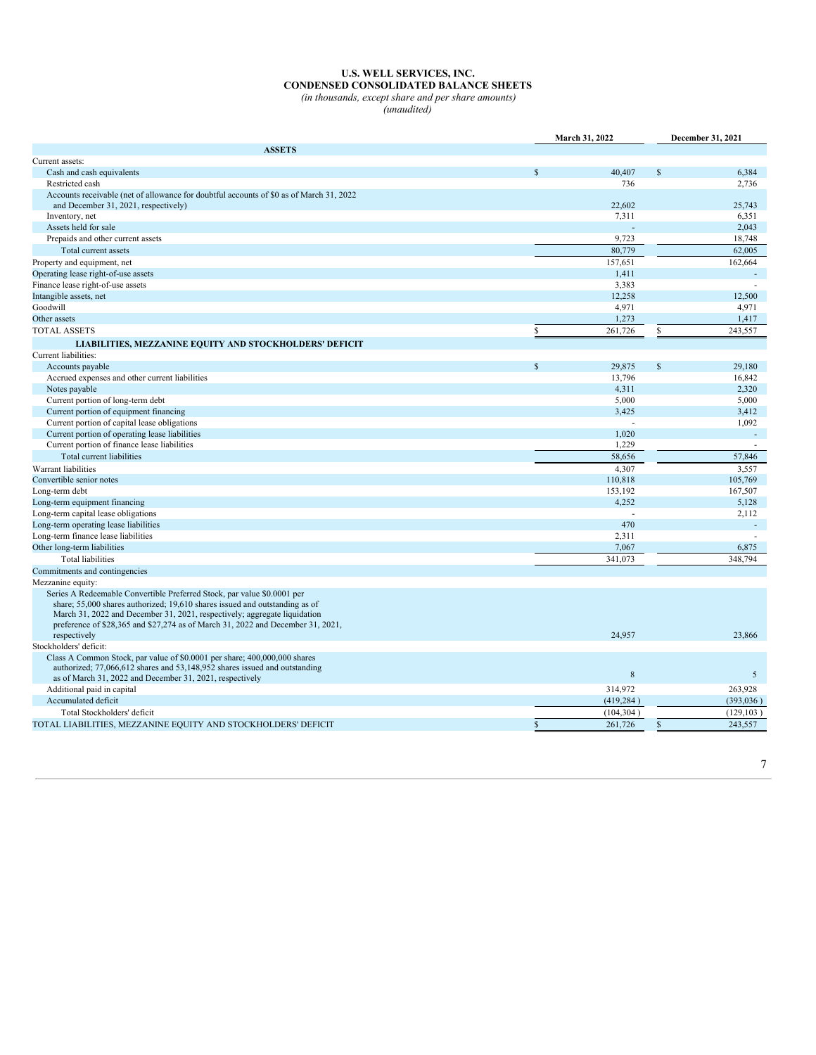#### **U.S. WELL SERVICES, INC. CONDENSED CONSOLIDATED BALANCE SHEETS** *(in thousands, except share and per share amounts)*

*(unaudited)*

|                                                                                                                                                                                                                                                                                                                        | March 31, 2022 |            | December 31, 2021 |            |
|------------------------------------------------------------------------------------------------------------------------------------------------------------------------------------------------------------------------------------------------------------------------------------------------------------------------|----------------|------------|-------------------|------------|
| <b>ASSETS</b>                                                                                                                                                                                                                                                                                                          |                |            |                   |            |
| Current assets:                                                                                                                                                                                                                                                                                                        |                |            |                   |            |
| Cash and cash equivalents                                                                                                                                                                                                                                                                                              | $\mathbf S$    | 40,407     | $\mathbf S$       | 6,384      |
| Restricted cash                                                                                                                                                                                                                                                                                                        |                | 736        |                   | 2,736      |
| Accounts receivable (net of allowance for doubtful accounts of \$0 as of March 31, 2022                                                                                                                                                                                                                                |                |            |                   |            |
| and December 31, 2021, respectively)                                                                                                                                                                                                                                                                                   |                | 22,602     |                   | 25.743     |
| Inventory, net                                                                                                                                                                                                                                                                                                         |                | 7,311      |                   | 6,351      |
| Assets held for sale                                                                                                                                                                                                                                                                                                   |                |            |                   | 2,043      |
| Prepaids and other current assets                                                                                                                                                                                                                                                                                      |                | 9,723      |                   | 18,748     |
| Total current assets                                                                                                                                                                                                                                                                                                   |                | 80,779     |                   | 62,005     |
| Property and equipment, net                                                                                                                                                                                                                                                                                            |                | 157,651    |                   | 162,664    |
| Operating lease right-of-use assets                                                                                                                                                                                                                                                                                    |                | 1,411      |                   |            |
| Finance lease right-of-use assets                                                                                                                                                                                                                                                                                      |                | 3.383      |                   |            |
| Intangible assets, net                                                                                                                                                                                                                                                                                                 |                | 12,258     |                   | 12,500     |
| Goodwill                                                                                                                                                                                                                                                                                                               |                | 4,971      |                   | 4,971      |
| Other assets                                                                                                                                                                                                                                                                                                           |                | 1,273      |                   | 1,417      |
| <b>TOTAL ASSETS</b>                                                                                                                                                                                                                                                                                                    | \$             | 261,726    | \$                | 243,557    |
| LIABILITIES, MEZZANINE EQUITY AND STOCKHOLDERS' DEFICIT                                                                                                                                                                                                                                                                |                |            |                   |            |
| Current liabilities:                                                                                                                                                                                                                                                                                                   |                |            |                   |            |
| Accounts payable                                                                                                                                                                                                                                                                                                       | $\mathbf S$    | 29.875     | $\mathbf{s}$      | 29.180     |
| Accrued expenses and other current liabilities                                                                                                                                                                                                                                                                         |                | 13,796     |                   | 16,842     |
| Notes payable                                                                                                                                                                                                                                                                                                          |                | 4,311      |                   | 2,320      |
| Current portion of long-term debt                                                                                                                                                                                                                                                                                      |                | 5,000      |                   | 5,000      |
| Current portion of equipment financing                                                                                                                                                                                                                                                                                 |                | 3,425      |                   | 3,412      |
| Current portion of capital lease obligations                                                                                                                                                                                                                                                                           |                | ÷.         |                   | 1,092      |
| Current portion of operating lease liabilities                                                                                                                                                                                                                                                                         |                | 1,020      |                   |            |
| Current portion of finance lease liabilities                                                                                                                                                                                                                                                                           |                | 1,229      |                   |            |
| Total current liabilities                                                                                                                                                                                                                                                                                              |                | 58,656     |                   | 57,846     |
| Warrant liabilities                                                                                                                                                                                                                                                                                                    |                | 4,307      |                   | 3,557      |
| Convertible senior notes                                                                                                                                                                                                                                                                                               |                | 110,818    |                   | 105,769    |
| Long-term debt                                                                                                                                                                                                                                                                                                         |                | 153,192    |                   | 167,507    |
| Long-term equipment financing                                                                                                                                                                                                                                                                                          |                | 4,252      |                   | 5,128      |
| Long-term capital lease obligations                                                                                                                                                                                                                                                                                    |                |            |                   | 2,112      |
| Long-term operating lease liabilities                                                                                                                                                                                                                                                                                  |                | 470        |                   |            |
| Long-term finance lease liabilities                                                                                                                                                                                                                                                                                    |                | 2,311      |                   |            |
| Other long-term liabilities                                                                                                                                                                                                                                                                                            |                | 7,067      |                   | 6,875      |
| <b>Total liabilities</b>                                                                                                                                                                                                                                                                                               |                | 341,073    |                   | 348,794    |
| Commitments and contingencies                                                                                                                                                                                                                                                                                          |                |            |                   |            |
| Mezzanine equity:                                                                                                                                                                                                                                                                                                      |                |            |                   |            |
| Series A Redeemable Convertible Preferred Stock, par value \$0.0001 per<br>share; 55,000 shares authorized; 19,610 shares issued and outstanding as of<br>March 31, 2022 and December 31, 2021, respectively; aggregate liquidation<br>preference of \$28,365 and \$27,274 as of March 31, 2022 and December 31, 2021, |                |            |                   |            |
| respectively                                                                                                                                                                                                                                                                                                           |                | 24,957     |                   | 23,866     |
| Stockholders' deficit:                                                                                                                                                                                                                                                                                                 |                |            |                   |            |
| Class A Common Stock, par value of \$0.0001 per share; 400,000,000 shares<br>authorized; 77,066,612 shares and 53,148,952 shares issued and outstanding<br>as of March 31, 2022 and December 31, 2021, respectively                                                                                                    |                | 8          |                   | 5          |
| Additional paid in capital                                                                                                                                                                                                                                                                                             |                | 314,972    |                   | 263,928    |
| Accumulated deficit                                                                                                                                                                                                                                                                                                    |                | (419, 284) |                   | (393, 036) |
| Total Stockholders' deficit                                                                                                                                                                                                                                                                                            |                | (104, 304) |                   | (129, 103) |
| TOTAL LIABILITIES, MEZZANINE EQUITY AND STOCKHOLDERS' DEFICIT                                                                                                                                                                                                                                                          | \$             | 261,726    | S                 | 243,557    |
|                                                                                                                                                                                                                                                                                                                        |                |            |                   |            |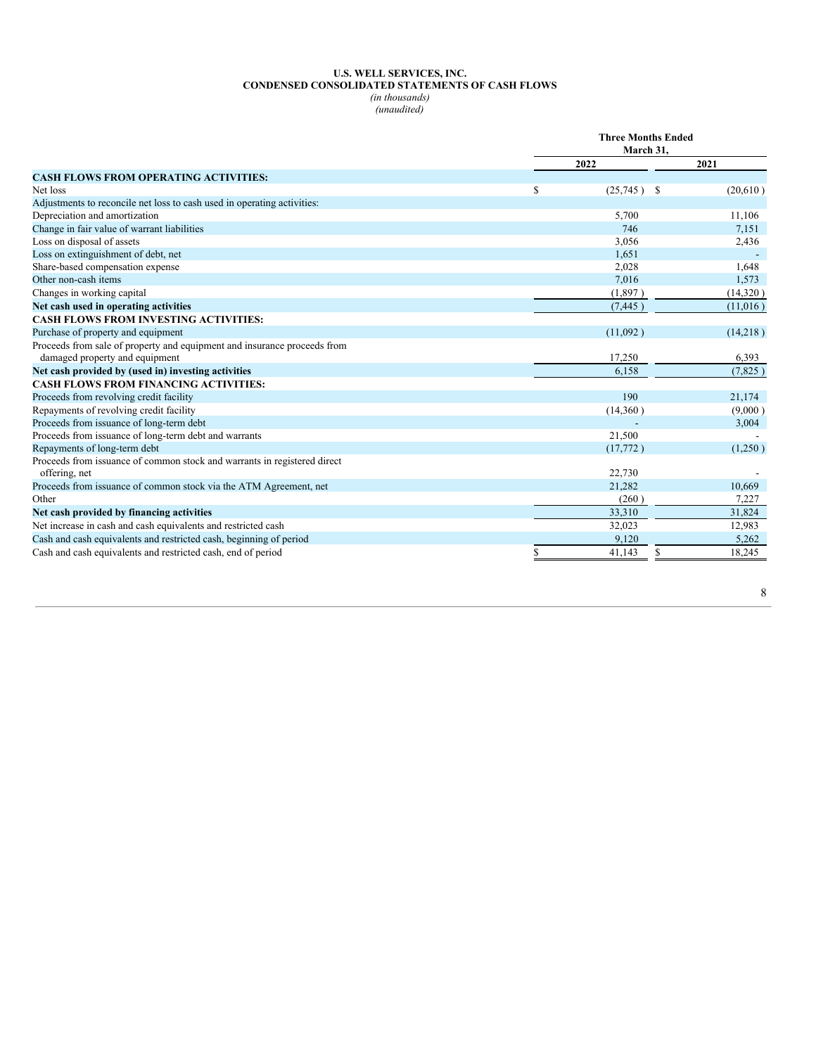# **U.S. WELL SERVICES, INC. CONDENSED CONSOLIDATED STATEMENTS OF CASH FLOWS**

*(in thousands) (unaudited)*

|                                                                                                            |    | <b>Three Months Ended</b> |          |  |  |
|------------------------------------------------------------------------------------------------------------|----|---------------------------|----------|--|--|
|                                                                                                            |    | March 31,                 |          |  |  |
|                                                                                                            |    | 2022                      | 2021     |  |  |
| <b>CASH FLOWS FROM OPERATING ACTIVITIES:</b>                                                               |    |                           |          |  |  |
| Net loss                                                                                                   | \$ | $(25,745)$ \$             | (20,610) |  |  |
| Adjustments to reconcile net loss to cash used in operating activities:                                    |    |                           |          |  |  |
| Depreciation and amortization                                                                              |    | 5,700                     | 11,106   |  |  |
| Change in fair value of warrant liabilities                                                                |    | 746                       | 7,151    |  |  |
| Loss on disposal of assets                                                                                 |    | 3,056                     | 2,436    |  |  |
| Loss on extinguishment of debt, net                                                                        |    | 1,651                     |          |  |  |
| Share-based compensation expense                                                                           |    | 2,028                     | 1,648    |  |  |
| Other non-cash items                                                                                       |    | 7,016                     | 1,573    |  |  |
| Changes in working capital                                                                                 |    | (1,897)                   | (14,320) |  |  |
| Net cash used in operating activities                                                                      |    | (7, 445)                  | (11,016) |  |  |
| <b>CASH FLOWS FROM INVESTING ACTIVITIES:</b>                                                               |    |                           |          |  |  |
| Purchase of property and equipment                                                                         |    | (11,092)                  | (14,218) |  |  |
| Proceeds from sale of property and equipment and insurance proceeds from<br>damaged property and equipment |    | 17,250                    | 6,393    |  |  |
| Net cash provided by (used in) investing activities                                                        |    | 6,158                     | (7,825)  |  |  |
| <b>CASH FLOWS FROM FINANCING ACTIVITIES:</b>                                                               |    |                           |          |  |  |
| Proceeds from revolving credit facility                                                                    |    | 190                       | 21,174   |  |  |
| Repayments of revolving credit facility                                                                    |    | (14,360)                  | (9,000)  |  |  |
| Proceeds from issuance of long-term debt                                                                   |    |                           | 3,004    |  |  |
| Proceeds from issuance of long-term debt and warrants                                                      |    | 21,500                    |          |  |  |
| Repayments of long-term debt                                                                               |    | (17,772)                  | (1,250)  |  |  |
| Proceeds from issuance of common stock and warrants in registered direct<br>offering, net                  |    | 22,730                    |          |  |  |
| Proceeds from issuance of common stock via the ATM Agreement, net                                          |    | 21,282                    | 10,669   |  |  |
| Other                                                                                                      |    | (260)                     | 7,227    |  |  |
| Net cash provided by financing activities                                                                  |    | 33.310                    | 31,824   |  |  |
| Net increase in cash and cash equivalents and restricted cash                                              |    | 32,023                    | 12,983   |  |  |
| Cash and cash equivalents and restricted cash, beginning of period                                         |    | 9.120                     | 5,262    |  |  |
|                                                                                                            |    |                           |          |  |  |
| Cash and cash equivalents and restricted cash, end of period                                               | S  | $\mathbf S$<br>41.143     | 18,245   |  |  |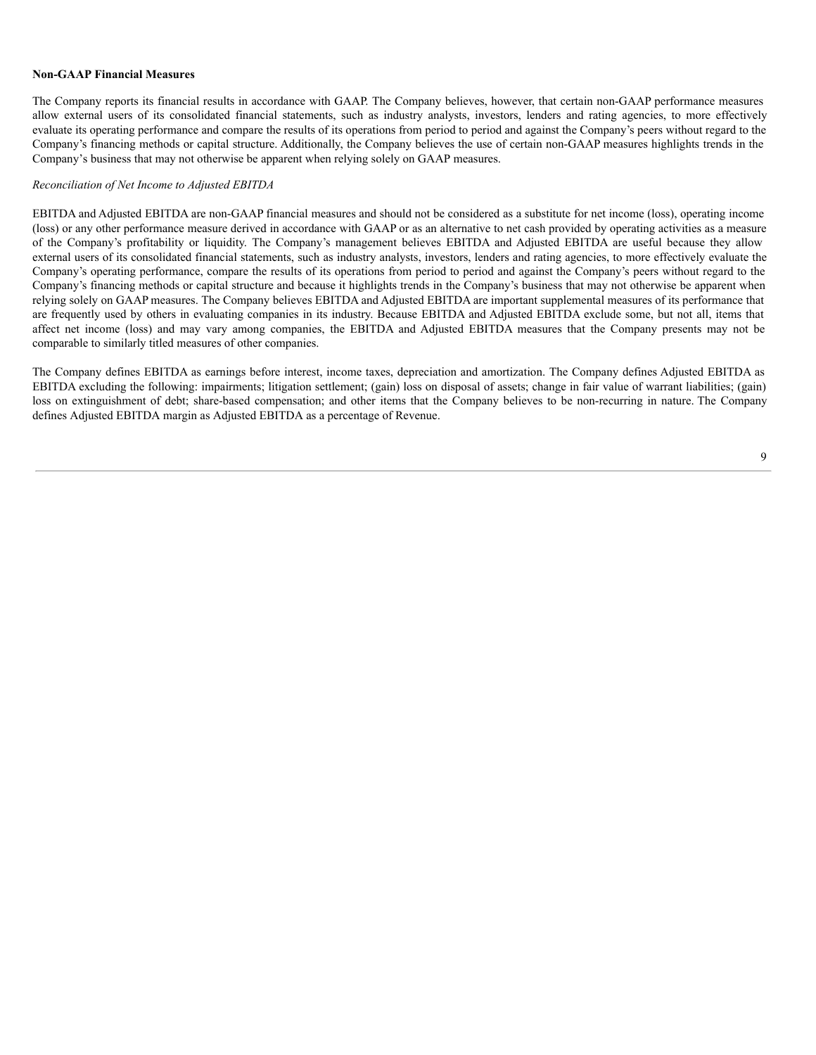#### **Non-GAAP Financial Measures**

The Company reports its financial results in accordance with GAAP. The Company believes, however, that certain non-GAAP performance measures allow external users of its consolidated financial statements, such as industry analysts, investors, lenders and rating agencies, to more effectively evaluate its operating performance and compare the results of its operations from period to period and against the Company's peers without regard to the Company's financing methods or capital structure. Additionally, the Company believes the use of certain non-GAAP measures highlights trends in the Company's business that may not otherwise be apparent when relying solely on GAAP measures.

#### *Reconciliation of Net Income to Adjusted EBITDA*

EBITDA and Adjusted EBITDA are non-GAAP financial measures and should not be considered as a substitute for net income (loss), operating income (loss) or any other performance measure derived in accordance with GAAP or as an alternative to net cash provided by operating activities as a measure of the Company's profitability or liquidity. The Company's management believes EBITDA and Adjusted EBITDA are useful because they allow external users of its consolidated financial statements, such as industry analysts, investors, lenders and rating agencies, to more effectively evaluate the Company's operating performance, compare the results of its operations from period to period and against the Company's peers without regard to the Company's financing methods or capital structure and because it highlights trends in the Company's business that may not otherwise be apparent when relying solely on GAAP measures. The Company believes EBITDA and Adjusted EBITDA are important supplemental measures of its performance that are frequently used by others in evaluating companies in its industry. Because EBITDA and Adjusted EBITDA exclude some, but not all, items that affect net income (loss) and may vary among companies, the EBITDA and Adjusted EBITDA measures that the Company presents may not be comparable to similarly titled measures of other companies.

The Company defines EBITDA as earnings before interest, income taxes, depreciation and amortization. The Company defines Adjusted EBITDA as EBITDA excluding the following: impairments; litigation settlement; (gain) loss on disposal of assets; change in fair value of warrant liabilities; (gain) loss on extinguishment of debt; share-based compensation; and other items that the Company believes to be non-recurring in nature. The Company defines Adjusted EBITDA margin as Adjusted EBITDA as a percentage of Revenue.